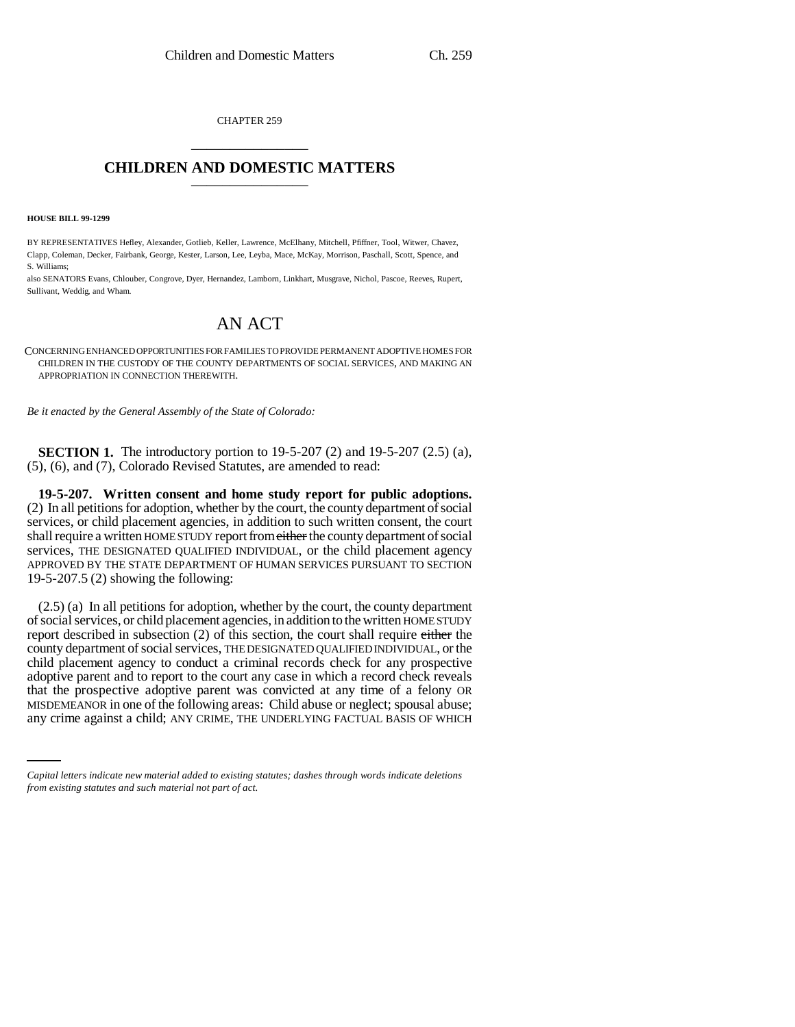CHAPTER 259 \_\_\_\_\_\_\_\_\_\_\_\_\_\_\_

## **CHILDREN AND DOMESTIC MATTERS** \_\_\_\_\_\_\_\_\_\_\_\_\_\_\_

**HOUSE BILL 99-1299**

BY REPRESENTATIVES Hefley, Alexander, Gotlieb, Keller, Lawrence, McElhany, Mitchell, Pfiffner, Tool, Witwer, Chavez, Clapp, Coleman, Decker, Fairbank, George, Kester, Larson, Lee, Leyba, Mace, McKay, Morrison, Paschall, Scott, Spence, and S. Williams;

also SENATORS Evans, Chlouber, Congrove, Dyer, Hernandez, Lamborn, Linkhart, Musgrave, Nichol, Pascoe, Reeves, Rupert, Sullivant, Weddig, and Wham.

# AN ACT

CONCERNING ENHANCED OPPORTUNITIES FOR FAMILIES TO PROVIDE PERMANENT ADOPTIVE HOMES FOR CHILDREN IN THE CUSTODY OF THE COUNTY DEPARTMENTS OF SOCIAL SERVICES, AND MAKING AN APPROPRIATION IN CONNECTION THEREWITH.

*Be it enacted by the General Assembly of the State of Colorado:*

**SECTION 1.** The introductory portion to 19-5-207 (2) and 19-5-207 (2.5) (a), (5), (6), and (7), Colorado Revised Statutes, are amended to read:

**19-5-207. Written consent and home study report for public adoptions.** (2) In all petitions for adoption, whether by the court, the county department of social services, or child placement agencies, in addition to such written consent, the court shall require a written HOME STUDY report from either the county department of social services, THE DESIGNATED QUALIFIED INDIVIDUAL, or the child placement agency APPROVED BY THE STATE DEPARTMENT OF HUMAN SERVICES PURSUANT TO SECTION 19-5-207.5 (2) showing the following:

that the prospective adoptive parent was convicted at any time of a felony OR (2.5) (a) In all petitions for adoption, whether by the court, the county department of social services, or child placement agencies, in addition to the written HOME STUDY report described in subsection (2) of this section, the court shall require either the county department of social services, THE DESIGNATED QUALIFIED INDIVIDUAL, or the child placement agency to conduct a criminal records check for any prospective adoptive parent and to report to the court any case in which a record check reveals MISDEMEANOR in one of the following areas: Child abuse or neglect; spousal abuse; any crime against a child; ANY CRIME, THE UNDERLYING FACTUAL BASIS OF WHICH

*Capital letters indicate new material added to existing statutes; dashes through words indicate deletions from existing statutes and such material not part of act.*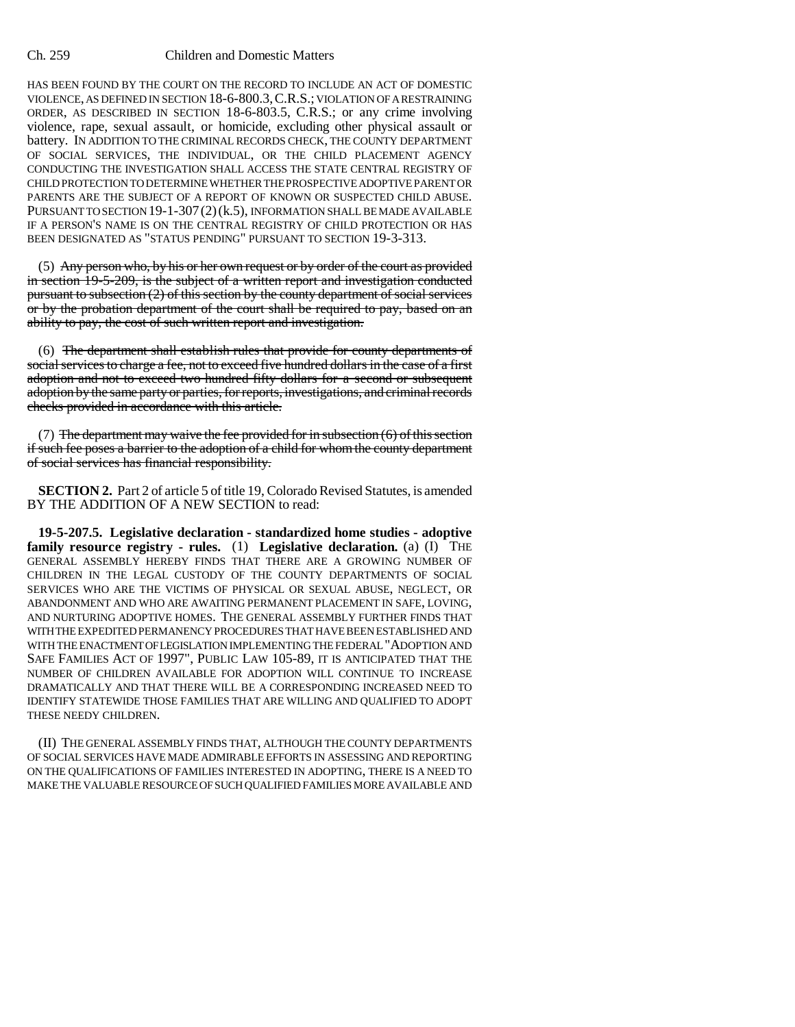HAS BEEN FOUND BY THE COURT ON THE RECORD TO INCLUDE AN ACT OF DOMESTIC VIOLENCE, AS DEFINED IN SECTION 18-6-800.3,C.R.S.; VIOLATION OF A RESTRAINING ORDER, AS DESCRIBED IN SECTION 18-6-803.5, C.R.S.; or any crime involving violence, rape, sexual assault, or homicide, excluding other physical assault or battery. IN ADDITION TO THE CRIMINAL RECORDS CHECK, THE COUNTY DEPARTMENT OF SOCIAL SERVICES, THE INDIVIDUAL, OR THE CHILD PLACEMENT AGENCY CONDUCTING THE INVESTIGATION SHALL ACCESS THE STATE CENTRAL REGISTRY OF CHILD PROTECTION TO DETERMINE WHETHER THE PROSPECTIVE ADOPTIVE PARENT OR PARENTS ARE THE SUBJECT OF A REPORT OF KNOWN OR SUSPECTED CHILD ABUSE. PURSUANT TO SECTION 19-1-307(2)(k.5), INFORMATION SHALL BE MADE AVAILABLE IF A PERSON'S NAME IS ON THE CENTRAL REGISTRY OF CHILD PROTECTION OR HAS BEEN DESIGNATED AS "STATUS PENDING" PURSUANT TO SECTION 19-3-313.

(5) Any person who, by his or her own request or by order of the court as provided in section 19-5-209, is the subject of a written report and investigation conducted pursuant to subsection  $(2)$  of this section by the county department of social services or by the probation department of the court shall be required to pay, based on an ability to pay, the cost of such written report and investigation.

(6) The department shall establish rules that provide for county departments of social services to charge a fee, not to exceed five hundred dollars in the case of a first adoption and not to exceed two hundred fifty dollars for a second or subsequent adoption by the same party or parties, for reports, investigations, and criminal records checks provided in accordance with this article.

(7) The department may waive the fee provided for in subsection  $(6)$  of this section if such fee poses a barrier to the adoption of a child for whom the county department of social services has financial responsibility.

**SECTION 2.** Part 2 of article 5 of title 19, Colorado Revised Statutes, is amended BY THE ADDITION OF A NEW SECTION to read:

**19-5-207.5. Legislative declaration - standardized home studies - adoptive family resource registry - rules.** (1) **Legislative declaration.** (a) (I) THE GENERAL ASSEMBLY HEREBY FINDS THAT THERE ARE A GROWING NUMBER OF CHILDREN IN THE LEGAL CUSTODY OF THE COUNTY DEPARTMENTS OF SOCIAL SERVICES WHO ARE THE VICTIMS OF PHYSICAL OR SEXUAL ABUSE, NEGLECT, OR ABANDONMENT AND WHO ARE AWAITING PERMANENT PLACEMENT IN SAFE, LOVING, AND NURTURING ADOPTIVE HOMES. THE GENERAL ASSEMBLY FURTHER FINDS THAT WITH THE EXPEDITED PERMANENCY PROCEDURES THAT HAVE BEEN ESTABLISHED AND WITH THE ENACTMENT OF LEGISLATION IMPLEMENTING THE FEDERAL "ADOPTION AND SAFE FAMILIES ACT OF 1997", PUBLIC LAW 105-89, IT IS ANTICIPATED THAT THE NUMBER OF CHILDREN AVAILABLE FOR ADOPTION WILL CONTINUE TO INCREASE DRAMATICALLY AND THAT THERE WILL BE A CORRESPONDING INCREASED NEED TO IDENTIFY STATEWIDE THOSE FAMILIES THAT ARE WILLING AND QUALIFIED TO ADOPT THESE NEEDY CHILDREN.

(II) THE GENERAL ASSEMBLY FINDS THAT, ALTHOUGH THE COUNTY DEPARTMENTS OF SOCIAL SERVICES HAVE MADE ADMIRABLE EFFORTS IN ASSESSING AND REPORTING ON THE QUALIFICATIONS OF FAMILIES INTERESTED IN ADOPTING, THERE IS A NEED TO MAKE THE VALUABLE RESOURCE OF SUCH QUALIFIED FAMILIES MORE AVAILABLE AND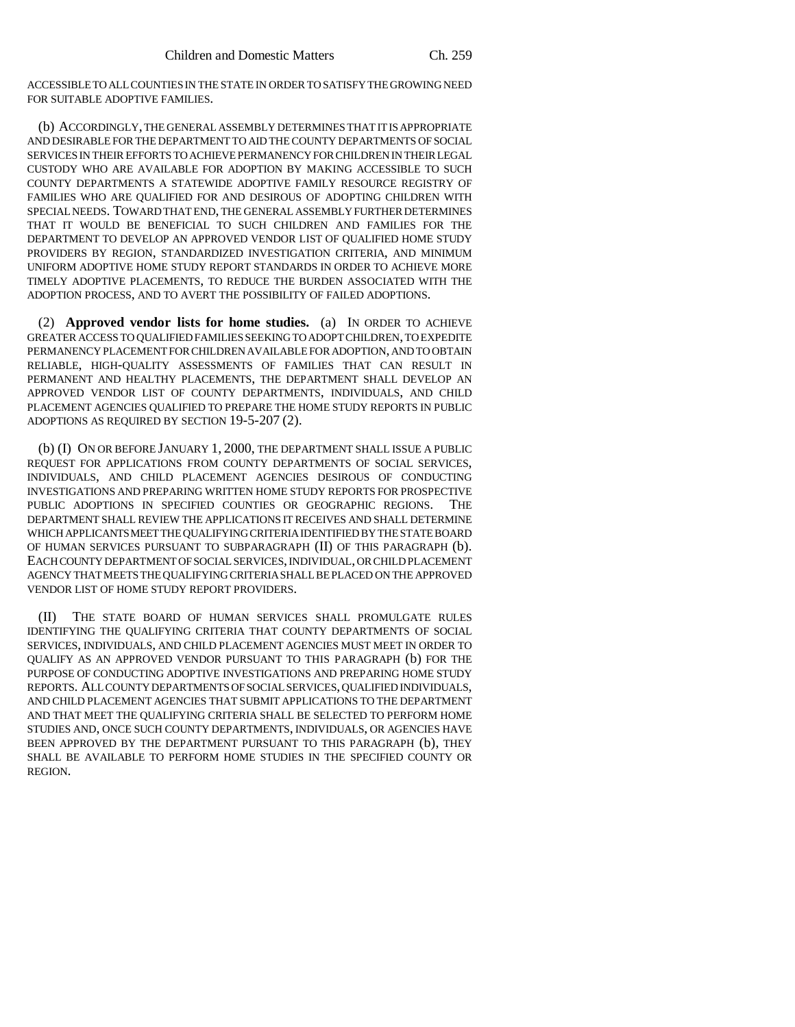ACCESSIBLE TO ALL COUNTIES IN THE STATE IN ORDER TO SATISFY THE GROWING NEED FOR SUITABLE ADOPTIVE FAMILIES.

(b) ACCORDINGLY, THE GENERAL ASSEMBLY DETERMINES THAT IT IS APPROPRIATE AND DESIRABLE FOR THE DEPARTMENT TO AID THE COUNTY DEPARTMENTS OF SOCIAL SERVICES IN THEIR EFFORTS TO ACHIEVE PERMANENCY FOR CHILDREN IN THEIR LEGAL CUSTODY WHO ARE AVAILABLE FOR ADOPTION BY MAKING ACCESSIBLE TO SUCH COUNTY DEPARTMENTS A STATEWIDE ADOPTIVE FAMILY RESOURCE REGISTRY OF FAMILIES WHO ARE QUALIFIED FOR AND DESIROUS OF ADOPTING CHILDREN WITH SPECIAL NEEDS. TOWARD THAT END, THE GENERAL ASSEMBLY FURTHER DETERMINES THAT IT WOULD BE BENEFICIAL TO SUCH CHILDREN AND FAMILIES FOR THE DEPARTMENT TO DEVELOP AN APPROVED VENDOR LIST OF QUALIFIED HOME STUDY PROVIDERS BY REGION, STANDARDIZED INVESTIGATION CRITERIA, AND MINIMUM UNIFORM ADOPTIVE HOME STUDY REPORT STANDARDS IN ORDER TO ACHIEVE MORE TIMELY ADOPTIVE PLACEMENTS, TO REDUCE THE BURDEN ASSOCIATED WITH THE ADOPTION PROCESS, AND TO AVERT THE POSSIBILITY OF FAILED ADOPTIONS.

(2) **Approved vendor lists for home studies.** (a) IN ORDER TO ACHIEVE GREATER ACCESS TO QUALIFIED FAMILIES SEEKING TO ADOPT CHILDREN, TO EXPEDITE PERMANENCY PLACEMENT FOR CHILDREN AVAILABLE FOR ADOPTION, AND TO OBTAIN RELIABLE, HIGH-QUALITY ASSESSMENTS OF FAMILIES THAT CAN RESULT IN PERMANENT AND HEALTHY PLACEMENTS, THE DEPARTMENT SHALL DEVELOP AN APPROVED VENDOR LIST OF COUNTY DEPARTMENTS, INDIVIDUALS, AND CHILD PLACEMENT AGENCIES QUALIFIED TO PREPARE THE HOME STUDY REPORTS IN PUBLIC ADOPTIONS AS REQUIRED BY SECTION 19-5-207 (2).

(b) (I) ON OR BEFORE JANUARY 1, 2000, THE DEPARTMENT SHALL ISSUE A PUBLIC REQUEST FOR APPLICATIONS FROM COUNTY DEPARTMENTS OF SOCIAL SERVICES, INDIVIDUALS, AND CHILD PLACEMENT AGENCIES DESIROUS OF CONDUCTING INVESTIGATIONS AND PREPARING WRITTEN HOME STUDY REPORTS FOR PROSPECTIVE PUBLIC ADOPTIONS IN SPECIFIED COUNTIES OR GEOGRAPHIC REGIONS. THE DEPARTMENT SHALL REVIEW THE APPLICATIONS IT RECEIVES AND SHALL DETERMINE WHICH APPLICANTS MEET THE QUALIFYING CRITERIA IDENTIFIED BY THE STATE BOARD OF HUMAN SERVICES PURSUANT TO SUBPARAGRAPH (II) OF THIS PARAGRAPH (b). EACH COUNTY DEPARTMENT OF SOCIAL SERVICES, INDIVIDUAL, OR CHILD PLACEMENT AGENCY THAT MEETS THE QUALIFYING CRITERIA SHALL BE PLACED ON THE APPROVED VENDOR LIST OF HOME STUDY REPORT PROVIDERS.

(II) THE STATE BOARD OF HUMAN SERVICES SHALL PROMULGATE RULES IDENTIFYING THE QUALIFYING CRITERIA THAT COUNTY DEPARTMENTS OF SOCIAL SERVICES, INDIVIDUALS, AND CHILD PLACEMENT AGENCIES MUST MEET IN ORDER TO QUALIFY AS AN APPROVED VENDOR PURSUANT TO THIS PARAGRAPH (b) FOR THE PURPOSE OF CONDUCTING ADOPTIVE INVESTIGATIONS AND PREPARING HOME STUDY REPORTS. ALL COUNTY DEPARTMENTS OF SOCIAL SERVICES, QUALIFIED INDIVIDUALS, AND CHILD PLACEMENT AGENCIES THAT SUBMIT APPLICATIONS TO THE DEPARTMENT AND THAT MEET THE QUALIFYING CRITERIA SHALL BE SELECTED TO PERFORM HOME STUDIES AND, ONCE SUCH COUNTY DEPARTMENTS, INDIVIDUALS, OR AGENCIES HAVE BEEN APPROVED BY THE DEPARTMENT PURSUANT TO THIS PARAGRAPH (b), THEY SHALL BE AVAILABLE TO PERFORM HOME STUDIES IN THE SPECIFIED COUNTY OR REGION.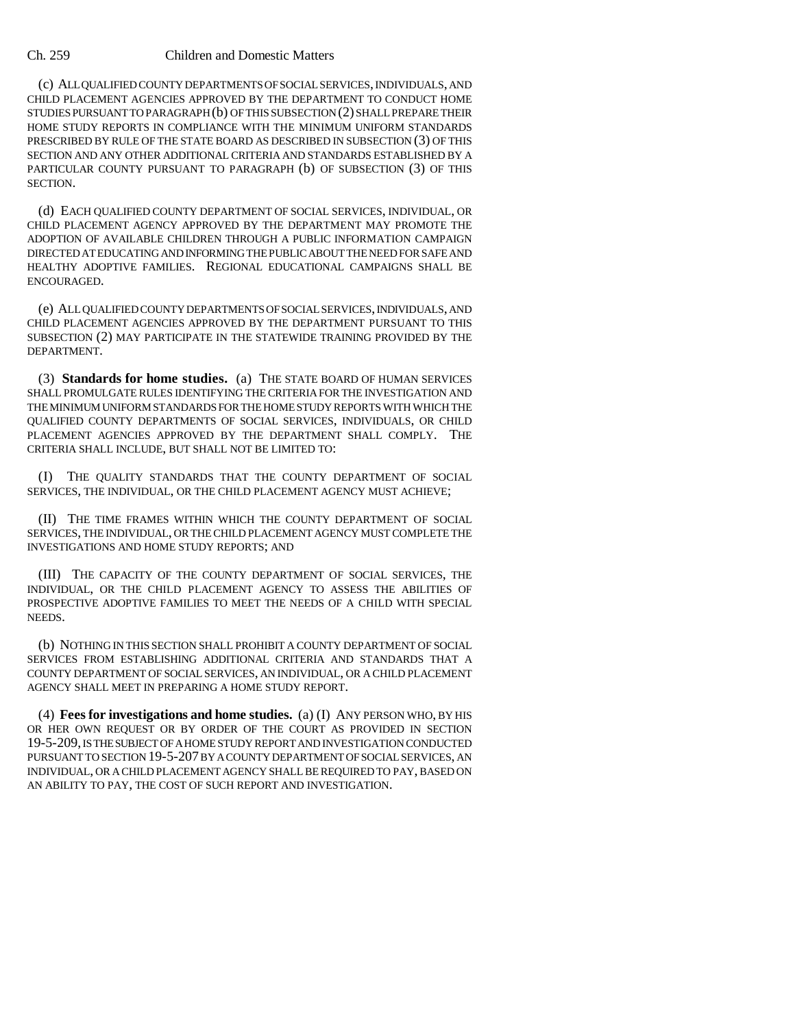(c) ALL QUALIFIED COUNTY DEPARTMENTS OF SOCIAL SERVICES, INDIVIDUALS, AND CHILD PLACEMENT AGENCIES APPROVED BY THE DEPARTMENT TO CONDUCT HOME STUDIES PURSUANT TO PARAGRAPH (b) OF THIS SUBSECTION (2) SHALL PREPARE THEIR HOME STUDY REPORTS IN COMPLIANCE WITH THE MINIMUM UNIFORM STANDARDS PRESCRIBED BY RULE OF THE STATE BOARD AS DESCRIBED IN SUBSECTION (3) OF THIS SECTION AND ANY OTHER ADDITIONAL CRITERIA AND STANDARDS ESTABLISHED BY A PARTICULAR COUNTY PURSUANT TO PARAGRAPH (b) OF SUBSECTION (3) OF THIS **SECTION** 

(d) EACH QUALIFIED COUNTY DEPARTMENT OF SOCIAL SERVICES, INDIVIDUAL, OR CHILD PLACEMENT AGENCY APPROVED BY THE DEPARTMENT MAY PROMOTE THE ADOPTION OF AVAILABLE CHILDREN THROUGH A PUBLIC INFORMATION CAMPAIGN DIRECTED AT EDUCATING AND INFORMING THE PUBLIC ABOUT THE NEED FOR SAFE AND HEALTHY ADOPTIVE FAMILIES. REGIONAL EDUCATIONAL CAMPAIGNS SHALL BE ENCOURAGED.

(e) ALL QUALIFIED COUNTY DEPARTMENTS OF SOCIAL SERVICES, INDIVIDUALS, AND CHILD PLACEMENT AGENCIES APPROVED BY THE DEPARTMENT PURSUANT TO THIS SUBSECTION (2) MAY PARTICIPATE IN THE STATEWIDE TRAINING PROVIDED BY THE DEPARTMENT.

(3) **Standards for home studies.** (a) THE STATE BOARD OF HUMAN SERVICES SHALL PROMULGATE RULES IDENTIFYING THE CRITERIA FOR THE INVESTIGATION AND THE MINIMUM UNIFORM STANDARDS FOR THE HOME STUDY REPORTS WITH WHICH THE QUALIFIED COUNTY DEPARTMENTS OF SOCIAL SERVICES, INDIVIDUALS, OR CHILD PLACEMENT AGENCIES APPROVED BY THE DEPARTMENT SHALL COMPLY. THE CRITERIA SHALL INCLUDE, BUT SHALL NOT BE LIMITED TO:

(I) THE QUALITY STANDARDS THAT THE COUNTY DEPARTMENT OF SOCIAL SERVICES, THE INDIVIDUAL, OR THE CHILD PLACEMENT AGENCY MUST ACHIEVE;

(II) THE TIME FRAMES WITHIN WHICH THE COUNTY DEPARTMENT OF SOCIAL SERVICES, THE INDIVIDUAL, OR THE CHILD PLACEMENT AGENCY MUST COMPLETE THE INVESTIGATIONS AND HOME STUDY REPORTS; AND

(III) THE CAPACITY OF THE COUNTY DEPARTMENT OF SOCIAL SERVICES, THE INDIVIDUAL, OR THE CHILD PLACEMENT AGENCY TO ASSESS THE ABILITIES OF PROSPECTIVE ADOPTIVE FAMILIES TO MEET THE NEEDS OF A CHILD WITH SPECIAL NEEDS.

(b) NOTHING IN THIS SECTION SHALL PROHIBIT A COUNTY DEPARTMENT OF SOCIAL SERVICES FROM ESTABLISHING ADDITIONAL CRITERIA AND STANDARDS THAT A COUNTY DEPARTMENT OF SOCIAL SERVICES, AN INDIVIDUAL, OR A CHILD PLACEMENT AGENCY SHALL MEET IN PREPARING A HOME STUDY REPORT.

(4) **Fees for investigations and home studies.** (a) (I) ANY PERSON WHO, BY HIS OR HER OWN REQUEST OR BY ORDER OF THE COURT AS PROVIDED IN SECTION 19-5-209, IS THE SUBJECT OF A HOME STUDY REPORT AND INVESTIGATION CONDUCTED PURSUANT TO SECTION 19-5-207 BY A COUNTY DEPARTMENT OF SOCIAL SERVICES, AN INDIVIDUAL, OR A CHILD PLACEMENT AGENCY SHALL BE REQUIRED TO PAY, BASED ON AN ABILITY TO PAY, THE COST OF SUCH REPORT AND INVESTIGATION.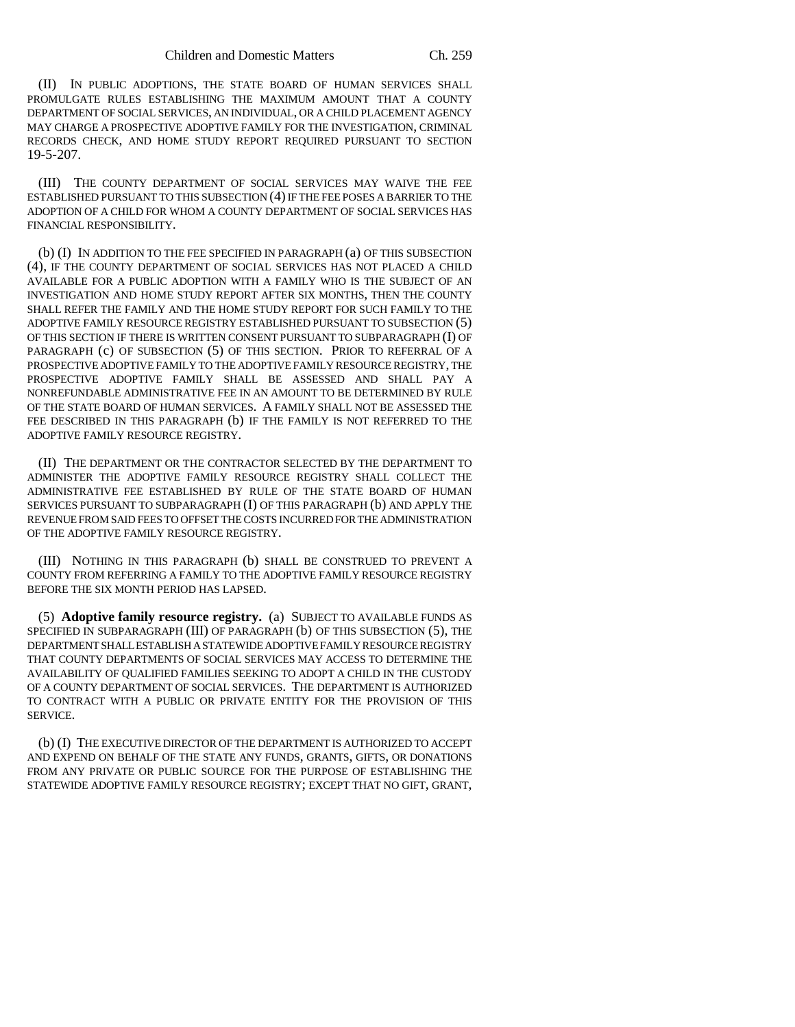(II) IN PUBLIC ADOPTIONS, THE STATE BOARD OF HUMAN SERVICES SHALL PROMULGATE RULES ESTABLISHING THE MAXIMUM AMOUNT THAT A COUNTY DEPARTMENT OF SOCIAL SERVICES, AN INDIVIDUAL, OR A CHILD PLACEMENT AGENCY MAY CHARGE A PROSPECTIVE ADOPTIVE FAMILY FOR THE INVESTIGATION, CRIMINAL RECORDS CHECK, AND HOME STUDY REPORT REQUIRED PURSUANT TO SECTION 19-5-207.

(III) THE COUNTY DEPARTMENT OF SOCIAL SERVICES MAY WAIVE THE FEE ESTABLISHED PURSUANT TO THIS SUBSECTION (4) IF THE FEE POSES A BARRIER TO THE ADOPTION OF A CHILD FOR WHOM A COUNTY DEPARTMENT OF SOCIAL SERVICES HAS FINANCIAL RESPONSIBILITY.

(b) (I) IN ADDITION TO THE FEE SPECIFIED IN PARAGRAPH (a) OF THIS SUBSECTION (4), IF THE COUNTY DEPARTMENT OF SOCIAL SERVICES HAS NOT PLACED A CHILD AVAILABLE FOR A PUBLIC ADOPTION WITH A FAMILY WHO IS THE SUBJECT OF AN INVESTIGATION AND HOME STUDY REPORT AFTER SIX MONTHS, THEN THE COUNTY SHALL REFER THE FAMILY AND THE HOME STUDY REPORT FOR SUCH FAMILY TO THE ADOPTIVE FAMILY RESOURCE REGISTRY ESTABLISHED PURSUANT TO SUBSECTION (5) OF THIS SECTION IF THERE IS WRITTEN CONSENT PURSUANT TO SUBPARAGRAPH (I) OF PARAGRAPH (c) OF SUBSECTION (5) OF THIS SECTION. PRIOR TO REFERRAL OF A PROSPECTIVE ADOPTIVE FAMILY TO THE ADOPTIVE FAMILY RESOURCE REGISTRY, THE PROSPECTIVE ADOPTIVE FAMILY SHALL BE ASSESSED AND SHALL PAY A NONREFUNDABLE ADMINISTRATIVE FEE IN AN AMOUNT TO BE DETERMINED BY RULE OF THE STATE BOARD OF HUMAN SERVICES. A FAMILY SHALL NOT BE ASSESSED THE FEE DESCRIBED IN THIS PARAGRAPH (b) IF THE FAMILY IS NOT REFERRED TO THE ADOPTIVE FAMILY RESOURCE REGISTRY.

(II) THE DEPARTMENT OR THE CONTRACTOR SELECTED BY THE DEPARTMENT TO ADMINISTER THE ADOPTIVE FAMILY RESOURCE REGISTRY SHALL COLLECT THE ADMINISTRATIVE FEE ESTABLISHED BY RULE OF THE STATE BOARD OF HUMAN SERVICES PURSUANT TO SUBPARAGRAPH (I) OF THIS PARAGRAPH (b) AND APPLY THE REVENUE FROM SAID FEES TO OFFSET THE COSTS INCURRED FOR THE ADMINISTRATION OF THE ADOPTIVE FAMILY RESOURCE REGISTRY.

(III) NOTHING IN THIS PARAGRAPH (b) SHALL BE CONSTRUED TO PREVENT A COUNTY FROM REFERRING A FAMILY TO THE ADOPTIVE FAMILY RESOURCE REGISTRY BEFORE THE SIX MONTH PERIOD HAS LAPSED.

(5) **Adoptive family resource registry.** (a) SUBJECT TO AVAILABLE FUNDS AS SPECIFIED IN SUBPARAGRAPH (III) OF PARAGRAPH (b) OF THIS SUBSECTION (5), THE DEPARTMENT SHALL ESTABLISH A STATEWIDE ADOPTIVE FAMILY RESOURCE REGISTRY THAT COUNTY DEPARTMENTS OF SOCIAL SERVICES MAY ACCESS TO DETERMINE THE AVAILABILITY OF QUALIFIED FAMILIES SEEKING TO ADOPT A CHILD IN THE CUSTODY OF A COUNTY DEPARTMENT OF SOCIAL SERVICES. THE DEPARTMENT IS AUTHORIZED TO CONTRACT WITH A PUBLIC OR PRIVATE ENTITY FOR THE PROVISION OF THIS SERVICE.

(b) (I) THE EXECUTIVE DIRECTOR OF THE DEPARTMENT IS AUTHORIZED TO ACCEPT AND EXPEND ON BEHALF OF THE STATE ANY FUNDS, GRANTS, GIFTS, OR DONATIONS FROM ANY PRIVATE OR PUBLIC SOURCE FOR THE PURPOSE OF ESTABLISHING THE STATEWIDE ADOPTIVE FAMILY RESOURCE REGISTRY; EXCEPT THAT NO GIFT, GRANT,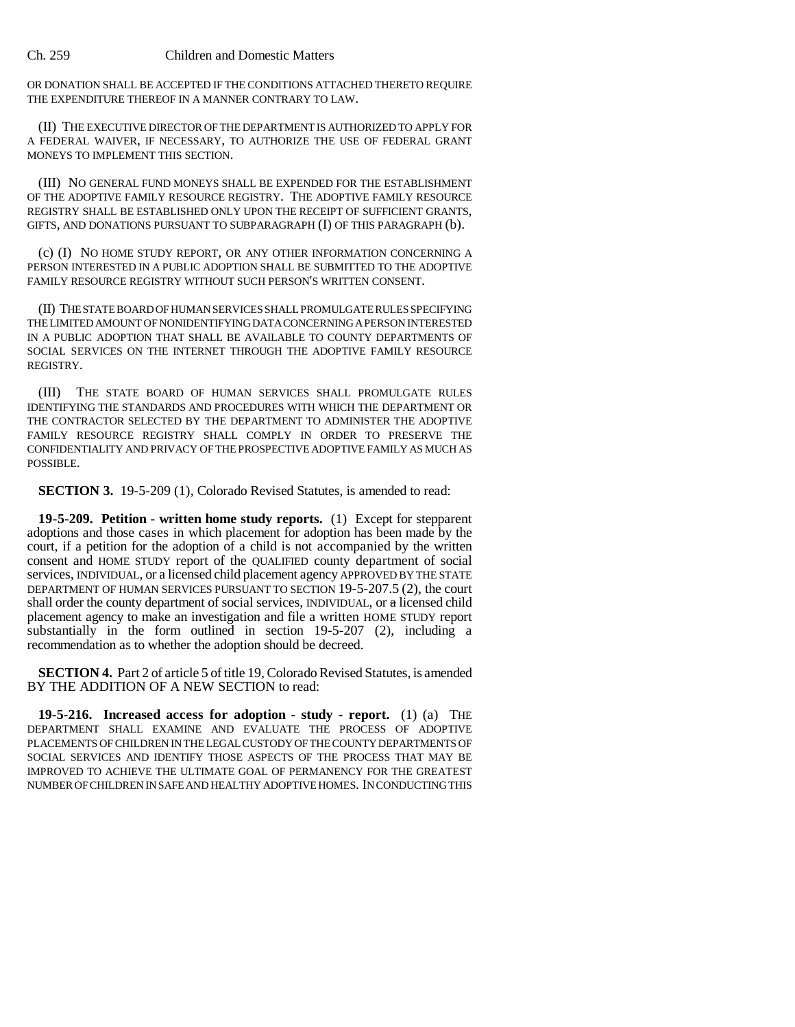OR DONATION SHALL BE ACCEPTED IF THE CONDITIONS ATTACHED THERETO REQUIRE THE EXPENDITURE THEREOF IN A MANNER CONTRARY TO LAW.

(II) THE EXECUTIVE DIRECTOR OF THE DEPARTMENT IS AUTHORIZED TO APPLY FOR A FEDERAL WAIVER, IF NECESSARY, TO AUTHORIZE THE USE OF FEDERAL GRANT MONEYS TO IMPLEMENT THIS SECTION.

(III) NO GENERAL FUND MONEYS SHALL BE EXPENDED FOR THE ESTABLISHMENT OF THE ADOPTIVE FAMILY RESOURCE REGISTRY. THE ADOPTIVE FAMILY RESOURCE REGISTRY SHALL BE ESTABLISHED ONLY UPON THE RECEIPT OF SUFFICIENT GRANTS, GIFTS, AND DONATIONS PURSUANT TO SUBPARAGRAPH (I) OF THIS PARAGRAPH (b).

(c) (I) NO HOME STUDY REPORT, OR ANY OTHER INFORMATION CONCERNING A PERSON INTERESTED IN A PUBLIC ADOPTION SHALL BE SUBMITTED TO THE ADOPTIVE FAMILY RESOURCE REGISTRY WITHOUT SUCH PERSON'S WRITTEN CONSENT.

(II) THE STATE BOARD OF HUMAN SERVICES SHALL PROMULGATE RULES SPECIFYING THE LIMITED AMOUNT OF NONIDENTIFYING DATA CONCERNING A PERSON INTERESTED IN A PUBLIC ADOPTION THAT SHALL BE AVAILABLE TO COUNTY DEPARTMENTS OF SOCIAL SERVICES ON THE INTERNET THROUGH THE ADOPTIVE FAMILY RESOURCE REGISTRY.

(III) THE STATE BOARD OF HUMAN SERVICES SHALL PROMULGATE RULES IDENTIFYING THE STANDARDS AND PROCEDURES WITH WHICH THE DEPARTMENT OR THE CONTRACTOR SELECTED BY THE DEPARTMENT TO ADMINISTER THE ADOPTIVE FAMILY RESOURCE REGISTRY SHALL COMPLY IN ORDER TO PRESERVE THE CONFIDENTIALITY AND PRIVACY OF THE PROSPECTIVE ADOPTIVE FAMILY AS MUCH AS POSSIBLE.

**SECTION 3.** 19-5-209 (1), Colorado Revised Statutes, is amended to read:

**19-5-209. Petition - written home study reports.** (1) Except for stepparent adoptions and those cases in which placement for adoption has been made by the court, if a petition for the adoption of a child is not accompanied by the written consent and HOME STUDY report of the QUALIFIED county department of social services, INDIVIDUAL, or a licensed child placement agency APPROVED BY THE STATE DEPARTMENT OF HUMAN SERVICES PURSUANT TO SECTION 19-5-207.5 (2), the court shall order the county department of social services, INDIVIDUAL, or a licensed child placement agency to make an investigation and file a written HOME STUDY report substantially in the form outlined in section 19-5-207 (2), including a recommendation as to whether the adoption should be decreed.

**SECTION 4.** Part 2 of article 5 of title 19, Colorado Revised Statutes, is amended BY THE ADDITION OF A NEW SECTION to read:

**19-5-216. Increased access for adoption - study - report.** (1) (a) THE DEPARTMENT SHALL EXAMINE AND EVALUATE THE PROCESS OF ADOPTIVE PLACEMENTS OF CHILDREN IN THE LEGAL CUSTODY OF THE COUNTY DEPARTMENTS OF SOCIAL SERVICES AND IDENTIFY THOSE ASPECTS OF THE PROCESS THAT MAY BE IMPROVED TO ACHIEVE THE ULTIMATE GOAL OF PERMANENCY FOR THE GREATEST NUMBER OF CHILDREN IN SAFE AND HEALTHY ADOPTIVE HOMES. IN CONDUCTING THIS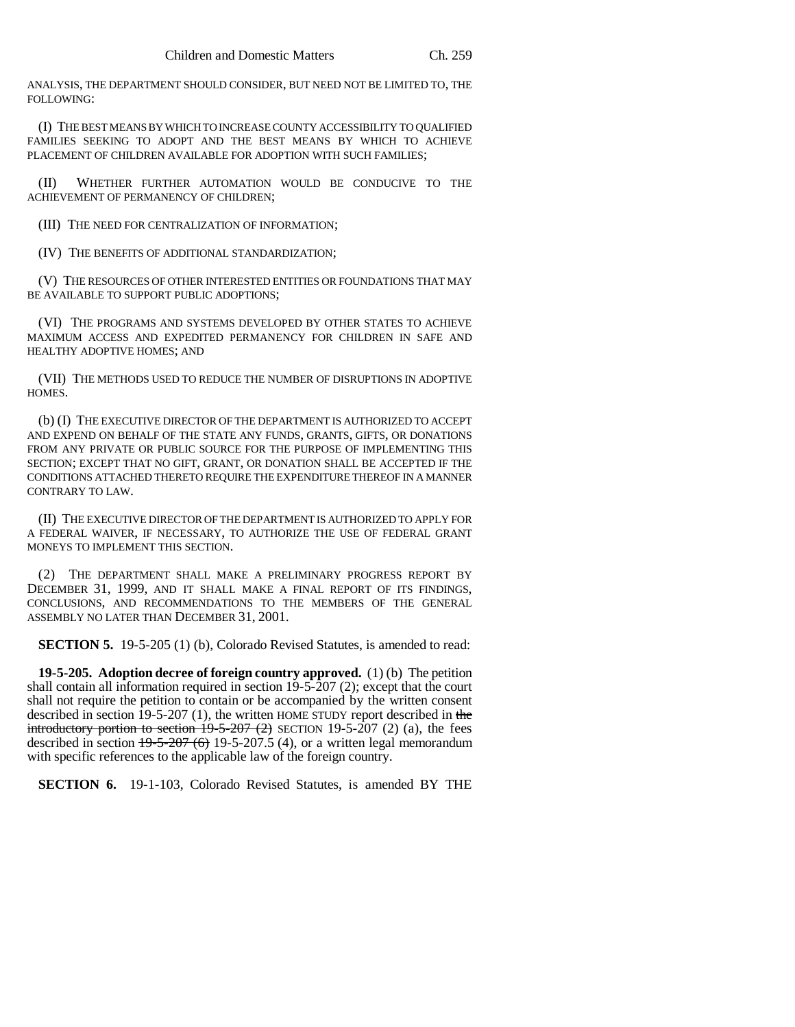ANALYSIS, THE DEPARTMENT SHOULD CONSIDER, BUT NEED NOT BE LIMITED TO, THE FOLLOWING:

(I) THE BEST MEANS BY WHICH TO INCREASE COUNTY ACCESSIBILITY TO QUALIFIED FAMILIES SEEKING TO ADOPT AND THE BEST MEANS BY WHICH TO ACHIEVE PLACEMENT OF CHILDREN AVAILABLE FOR ADOPTION WITH SUCH FAMILIES;

(II) WHETHER FURTHER AUTOMATION WOULD BE CONDUCIVE TO THE ACHIEVEMENT OF PERMANENCY OF CHILDREN;

(III) THE NEED FOR CENTRALIZATION OF INFORMATION;

(IV) THE BENEFITS OF ADDITIONAL STANDARDIZATION;

(V) THE RESOURCES OF OTHER INTERESTED ENTITIES OR FOUNDATIONS THAT MAY BE AVAILABLE TO SUPPORT PUBLIC ADOPTIONS;

(VI) THE PROGRAMS AND SYSTEMS DEVELOPED BY OTHER STATES TO ACHIEVE MAXIMUM ACCESS AND EXPEDITED PERMANENCY FOR CHILDREN IN SAFE AND HEALTHY ADOPTIVE HOMES; AND

(VII) THE METHODS USED TO REDUCE THE NUMBER OF DISRUPTIONS IN ADOPTIVE HOMES.

(b) (I) THE EXECUTIVE DIRECTOR OF THE DEPARTMENT IS AUTHORIZED TO ACCEPT AND EXPEND ON BEHALF OF THE STATE ANY FUNDS, GRANTS, GIFTS, OR DONATIONS FROM ANY PRIVATE OR PUBLIC SOURCE FOR THE PURPOSE OF IMPLEMENTING THIS SECTION; EXCEPT THAT NO GIFT, GRANT, OR DONATION SHALL BE ACCEPTED IF THE CONDITIONS ATTACHED THERETO REQUIRE THE EXPENDITURE THEREOF IN A MANNER CONTRARY TO LAW.

(II) THE EXECUTIVE DIRECTOR OF THE DEPARTMENT IS AUTHORIZED TO APPLY FOR A FEDERAL WAIVER, IF NECESSARY, TO AUTHORIZE THE USE OF FEDERAL GRANT MONEYS TO IMPLEMENT THIS SECTION.

(2) THE DEPARTMENT SHALL MAKE A PRELIMINARY PROGRESS REPORT BY DECEMBER 31, 1999, AND IT SHALL MAKE A FINAL REPORT OF ITS FINDINGS, CONCLUSIONS, AND RECOMMENDATIONS TO THE MEMBERS OF THE GENERAL ASSEMBLY NO LATER THAN DECEMBER 31, 2001.

**SECTION 5.** 19-5-205 (1) (b), Colorado Revised Statutes, is amended to read:

**19-5-205. Adoption decree of foreign country approved.** (1) (b) The petition shall contain all information required in section 19-5-207 (2); except that the court shall not require the petition to contain or be accompanied by the written consent described in section 19-5-207 (1), the written HOME STUDY report described in the introductory portion to section  $19-5-207$  (2) SECTION 19-5-207 (2) (a), the fees described in section  $19-5-207(6)$  19-5-207.5 (4), or a written legal memorandum with specific references to the applicable law of the foreign country.

**SECTION 6.** 19-1-103, Colorado Revised Statutes, is amended BY THE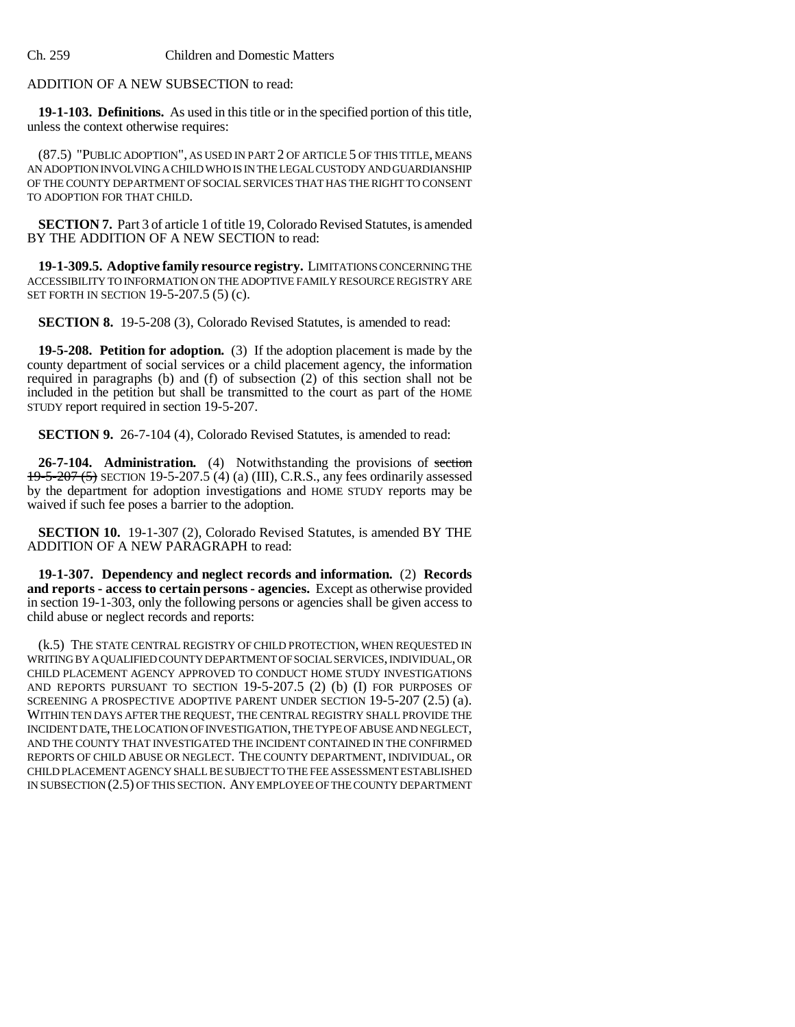ADDITION OF A NEW SUBSECTION to read:

**19-1-103. Definitions.** As used in this title or in the specified portion of this title, unless the context otherwise requires:

(87.5) "PUBLIC ADOPTION", AS USED IN PART 2 OF ARTICLE 5 OF THIS TITLE, MEANS AN ADOPTION INVOLVING A CHILD WHO IS IN THE LEGAL CUSTODY AND GUARDIANSHIP OF THE COUNTY DEPARTMENT OF SOCIAL SERVICES THAT HAS THE RIGHT TO CONSENT TO ADOPTION FOR THAT CHILD.

**SECTION 7.** Part 3 of article 1 of title 19, Colorado Revised Statutes, is amended BY THE ADDITION OF A NEW SECTION to read:

**19-1-309.5. Adoptive family resource registry.** LIMITATIONS CONCERNING THE ACCESSIBILITY TO INFORMATION ON THE ADOPTIVE FAMILY RESOURCE REGISTRY ARE SET FORTH IN SECTION 19-5-207.5 (5) (c).

**SECTION 8.** 19-5-208 (3), Colorado Revised Statutes, is amended to read:

**19-5-208. Petition for adoption.** (3) If the adoption placement is made by the county department of social services or a child placement agency, the information required in paragraphs (b) and (f) of subsection (2) of this section shall not be included in the petition but shall be transmitted to the court as part of the HOME STUDY report required in section 19-5-207.

**SECTION 9.** 26-7-104 (4), Colorado Revised Statutes, is amended to read:

**26-7-104. Administration.** (4) Notwithstanding the provisions of section 19-5-207 (5) SECTION 19-5-207.5 (4) (a) (III), C.R.S., any fees ordinarily assessed by the department for adoption investigations and HOME STUDY reports may be waived if such fee poses a barrier to the adoption.

**SECTION 10.** 19-1-307 (2), Colorado Revised Statutes, is amended BY THE ADDITION OF A NEW PARAGRAPH to read:

**19-1-307. Dependency and neglect records and information.** (2) **Records and reports - access to certain persons - agencies.** Except as otherwise provided in section 19-1-303, only the following persons or agencies shall be given access to child abuse or neglect records and reports:

(k.5) THE STATE CENTRAL REGISTRY OF CHILD PROTECTION, WHEN REQUESTED IN WRITING BY A QUALIFIED COUNTY DEPARTMENT OF SOCIAL SERVICES, INDIVIDUAL, OR CHILD PLACEMENT AGENCY APPROVED TO CONDUCT HOME STUDY INVESTIGATIONS AND REPORTS PURSUANT TO SECTION 19-5-207.5 (2) (b) (I) FOR PURPOSES OF SCREENING A PROSPECTIVE ADOPTIVE PARENT UNDER SECTION 19-5-207 (2.5) (a). WITHIN TEN DAYS AFTER THE REQUEST, THE CENTRAL REGISTRY SHALL PROVIDE THE INCIDENT DATE, THE LOCATION OF INVESTIGATION, THE TYPE OF ABUSE AND NEGLECT, AND THE COUNTY THAT INVESTIGATED THE INCIDENT CONTAINED IN THE CONFIRMED REPORTS OF CHILD ABUSE OR NEGLECT. THE COUNTY DEPARTMENT, INDIVIDUAL, OR CHILD PLACEMENT AGENCY SHALL BE SUBJECT TO THE FEE ASSESSMENT ESTABLISHED IN SUBSECTION (2.5) OF THIS SECTION. ANY EMPLOYEE OF THE COUNTY DEPARTMENT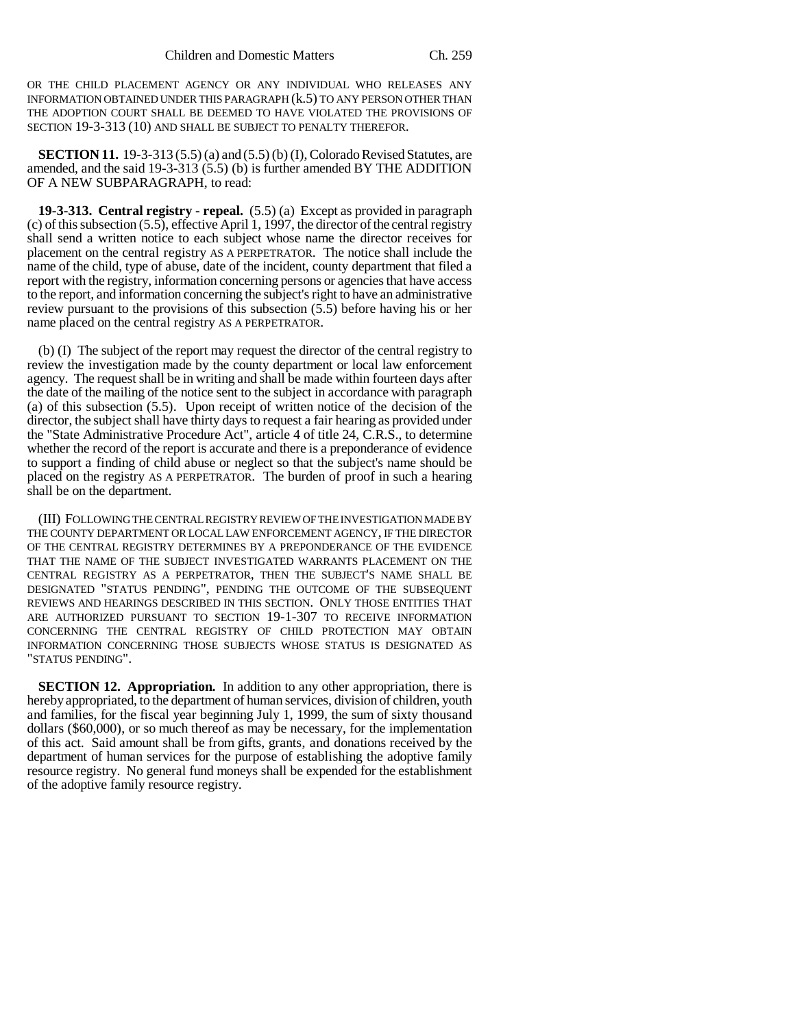OR THE CHILD PLACEMENT AGENCY OR ANY INDIVIDUAL WHO RELEASES ANY INFORMATION OBTAINED UNDER THIS PARAGRAPH (k.5) TO ANY PERSON OTHER THAN THE ADOPTION COURT SHALL BE DEEMED TO HAVE VIOLATED THE PROVISIONS OF SECTION 19-3-313 (10) AND SHALL BE SUBJECT TO PENALTY THEREFOR.

**SECTION 11.** 19-3-313 (5.5) (a) and (5.5) (b) (I), Colorado Revised Statutes, are amended, and the said 19-3-313 (5.5) (b) is further amended BY THE ADDITION OF A NEW SUBPARAGRAPH, to read:

**19-3-313. Central registry - repeal.** (5.5) (a) Except as provided in paragraph (c) of this subsection (5.5), effective April 1, 1997, the director of the central registry shall send a written notice to each subject whose name the director receives for placement on the central registry AS A PERPETRATOR. The notice shall include the name of the child, type of abuse, date of the incident, county department that filed a report with the registry, information concerning persons or agencies that have access to the report, and information concerning the subject's right to have an administrative review pursuant to the provisions of this subsection (5.5) before having his or her name placed on the central registry AS A PERPETRATOR.

(b) (I) The subject of the report may request the director of the central registry to review the investigation made by the county department or local law enforcement agency. The request shall be in writing and shall be made within fourteen days after the date of the mailing of the notice sent to the subject in accordance with paragraph (a) of this subsection (5.5). Upon receipt of written notice of the decision of the director, the subject shall have thirty days to request a fair hearing as provided under the "State Administrative Procedure Act", article 4 of title 24, C.R.S., to determine whether the record of the report is accurate and there is a preponderance of evidence to support a finding of child abuse or neglect so that the subject's name should be placed on the registry AS A PERPETRATOR. The burden of proof in such a hearing shall be on the department.

(III) FOLLOWING THE CENTRAL REGISTRY REVIEW OF THE INVESTIGATION MADE BY THE COUNTY DEPARTMENT OR LOCAL LAW ENFORCEMENT AGENCY, IF THE DIRECTOR OF THE CENTRAL REGISTRY DETERMINES BY A PREPONDERANCE OF THE EVIDENCE THAT THE NAME OF THE SUBJECT INVESTIGATED WARRANTS PLACEMENT ON THE CENTRAL REGISTRY AS A PERPETRATOR, THEN THE SUBJECT'S NAME SHALL BE DESIGNATED "STATUS PENDING", PENDING THE OUTCOME OF THE SUBSEQUENT REVIEWS AND HEARINGS DESCRIBED IN THIS SECTION. ONLY THOSE ENTITIES THAT ARE AUTHORIZED PURSUANT TO SECTION 19-1-307 TO RECEIVE INFORMATION CONCERNING THE CENTRAL REGISTRY OF CHILD PROTECTION MAY OBTAIN INFORMATION CONCERNING THOSE SUBJECTS WHOSE STATUS IS DESIGNATED AS "STATUS PENDING".

**SECTION 12. Appropriation.** In addition to any other appropriation, there is hereby appropriated, to the department of human services, division of children, youth and families, for the fiscal year beginning July 1, 1999, the sum of sixty thousand dollars (\$60,000), or so much thereof as may be necessary, for the implementation of this act. Said amount shall be from gifts, grants, and donations received by the department of human services for the purpose of establishing the adoptive family resource registry. No general fund moneys shall be expended for the establishment of the adoptive family resource registry.